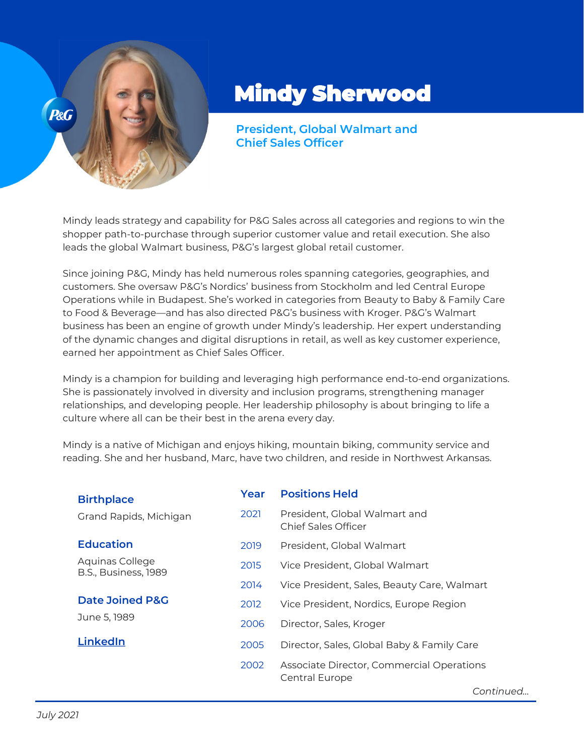

## Mindy Sherwood

**President, Global Walmart and Chief Sales Officer**

Mindy leads strategy and capability for P&G Sales across all categories and regions to win the shopper path-to-purchase through superior customer value and retail execution. She also leads the global Walmart business, P&G's largest global retail customer.

Since joining P&G, Mindy has held numerous roles spanning categories, geographies, and customers. She oversaw P&G's Nordics' business from Stockholm and led Central Europe Operations while in Budapest. She's worked in categories from Beauty to Baby & Family Care to Food & Beverage—and has also directed P&G's business with Kroger. P&G's Walmart business has been an engine of growth under Mindy's leadership. Her expert understanding of the dynamic changes and digital disruptions in retail, as well as key customer experience, earned her appointment as Chief Sales Officer.

Mindy is a champion for building and leveraging high performance end-to-end organizations. She is passionately involved in diversity and inclusion programs, strengthening manager relationships, and developing people. Her leadership philosophy is about bringing to life a culture where all can be their best in the arena every day.

Mindy is a native of Michigan and enjoys hiking, mountain biking, community service and reading. She and her husband, Marc, have two children, and reside in Northwest Arkansas.

| <b>Birthplace</b>                          | Year | <b>Positions Held</b>                                              |
|--------------------------------------------|------|--------------------------------------------------------------------|
| Grand Rapids, Michigan                     | 2021 | President, Global Walmart and<br>Chief Sales Officer               |
| <b>Education</b>                           | 2019 | President, Global Walmart                                          |
| Aquinas College<br>B.S., Business, 1989    | 2015 | Vice President, Global Walmart                                     |
|                                            | 2014 | Vice President, Sales, Beauty Care, Walmart                        |
| <b>Date Joined P&amp;G</b><br>June 5, 1989 | 2012 | Vice President, Nordics, Europe Region                             |
|                                            | 2006 | Director, Sales, Kroger                                            |
| <b>LinkedIn</b>                            | 2005 | Director, Sales, Global Baby & Family Care                         |
|                                            | 2002 | Associate Director, Commercial Operations<br><b>Central Europe</b> |
|                                            |      | Continued                                                          |